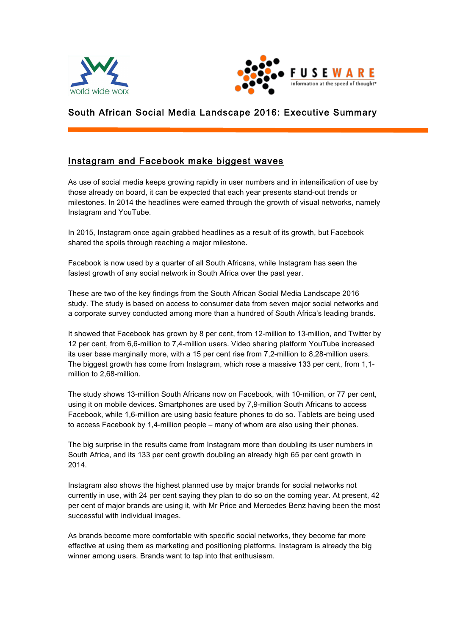



# South African Social Media Landscape 2016: Executive Summary

## Instagram and Facebook make biggest waves

As use of social media keeps growing rapidly in user numbers and in intensification of use by those already on board, it can be expected that each year presents stand-out trends or milestones. In 2014 the headlines were earned through the growth of visual networks, namely Instagram and YouTube.

In 2015, Instagram once again grabbed headlines as a result of its growth, but Facebook shared the spoils through reaching a major milestone.

Facebook is now used by a quarter of all South Africans, while Instagram has seen the fastest growth of any social network in South Africa over the past year.

These are two of the key findings from the South African Social Media Landscape 2016 study. The study is based on access to consumer data from seven major social networks and a corporate survey conducted among more than a hundred of South Africa's leading brands.

It showed that Facebook has grown by 8 per cent, from 12-million to 13-million, and Twitter by 12 per cent, from 6,6-million to 7,4-million users. Video sharing platform YouTube increased its user base marginally more, with a 15 per cent rise from 7,2-million to 8,28-million users. The biggest growth has come from Instagram, which rose a massive 133 per cent, from 1,1 million to 2,68-million.

The study shows 13-million South Africans now on Facebook, with 10-million, or 77 per cent, using it on mobile devices. Smartphones are used by 7,9-million South Africans to access Facebook, while 1,6-million are using basic feature phones to do so. Tablets are being used to access Facebook by 1,4-million people – many of whom are also using their phones.

The big surprise in the results came from Instagram more than doubling its user numbers in South Africa, and its 133 per cent growth doubling an already high 65 per cent growth in 2014.

Instagram also shows the highest planned use by major brands for social networks not currently in use, with 24 per cent saying they plan to do so on the coming year. At present, 42 per cent of major brands are using it, with Mr Price and Mercedes Benz having been the most successful with individual images.

As brands become more comfortable with specific social networks, they become far more effective at using them as marketing and positioning platforms. Instagram is already the big winner among users. Brands want to tap into that enthusiasm.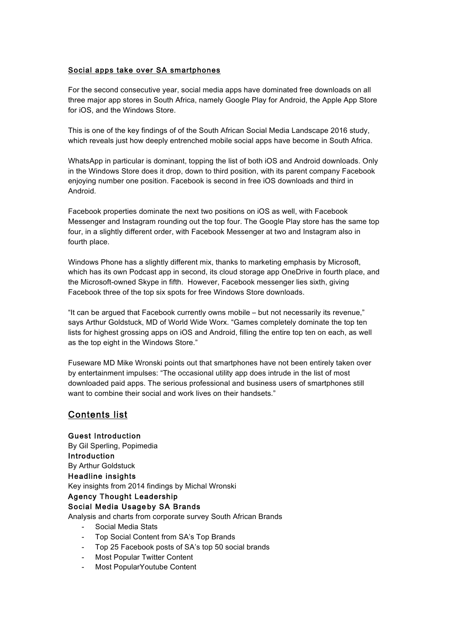### Social apps take over SA smartphones

For the second consecutive year, social media apps have dominated free downloads on all three major app stores in South Africa, namely Google Play for Android, the Apple App Store for iOS, and the Windows Store.

This is one of the key findings of of the South African Social Media Landscape 2016 study, which reveals just how deeply entrenched mobile social apps have become in South Africa.

WhatsApp in particular is dominant, topping the list of both iOS and Android downloads. Only in the Windows Store does it drop, down to third position, with its parent company Facebook enjoying number one position. Facebook is second in free iOS downloads and third in Android.

Facebook properties dominate the next two positions on iOS as well, with Facebook Messenger and Instagram rounding out the top four. The Google Play store has the same top four, in a slightly different order, with Facebook Messenger at two and Instagram also in fourth place.

Windows Phone has a slightly different mix, thanks to marketing emphasis by Microsoft, which has its own Podcast app in second, its cloud storage app OneDrive in fourth place, and the Microsoft-owned Skype in fifth. However, Facebook messenger lies sixth, giving Facebook three of the top six spots for free Windows Store downloads.

"It can be argued that Facebook currently owns mobile – but not necessarily its revenue," says Arthur Goldstuck, MD of World Wide Worx. "Games completely dominate the top ten lists for highest grossing apps on iOS and Android, filling the entire top ten on each, as well as the top eight in the Windows Store."

Fuseware MD Mike Wronski points out that smartphones have not been entirely taken over by entertainment impulses: "The occasional utility app does intrude in the list of most downloaded paid apps. The serious professional and business users of smartphones still want to combine their social and work lives on their handsets."

### Contents list

Guest Introduction By Gil Sperling, Popimedia Introduction By Arthur Goldstuck Headline insights Key insights from 2014 findings by Michal Wronski Agency Thought Leadership Social Media Usage
by SA Brands

Analysis and charts from corporate survey South African Brands

- Social Media Stats
- Top Social Content from SA's Top Brands
- Top 25 Facebook posts of SA's top 50 social brands
- Most Popular Twitter Content
- Most PopularYoutube Content